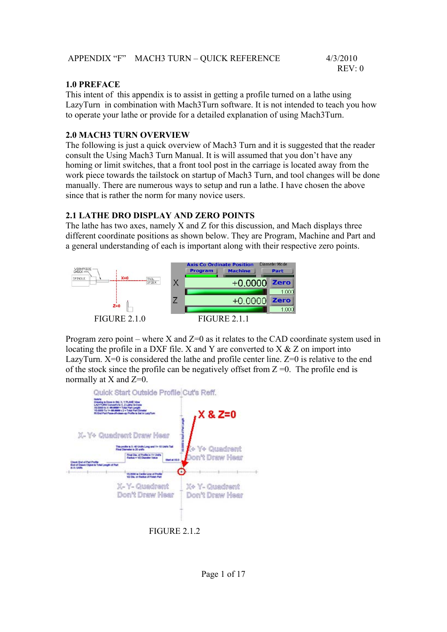| APPENDIX "F" MACH3 TURN - QUICK REFERENCE | 4/3/2010 |
|-------------------------------------------|----------|
|                                           | REV:0    |

#### **1.0 PREFACE**

This intent of this appendix is to assist in getting a profile turned on a lathe using LazyTurn in combination with Mach3Turn software. It is not intended to teach you how to operate your lathe or provide for a detailed explanation of using Mach3Turn.

#### **2.0 MACH3 TURN OVERVIEW**

The following is just a quick overview of Mach3 Turn and it is suggested that the reader consult the Using Mach3 Turn Manual. It is will assumed that you don't have any homing or limit switches, that a front tool post in the carriage is located away from the work piece towards the tailstock on startup of Mach3 Turn, and tool changes will be done manually. There are numerous ways to setup and run a lathe. I have chosen the above since that is rather the norm for many novice users.

## **2.1 LATHE DRO DISPLAY AND ZERO POINTS**

The lathe has two axes, namely X and Z for this discussion, and Mach displays three different coordinate positions as shown below. They are Program, Machine and Part and a general understanding of each is important along with their respective zero points.



Program zero point – where X and  $Z=0$  as it relates to the CAD coordinate system used in locating the profile in a DXF file. X and Y are converted to X & Z on import into LazyTurn. X=0 is considered the lathe and profile center line. Z=0 is relative to the end of the stock since the profile can be negatively offset from  $Z = 0$ . The profile end is normally at X and  $Z=0$ .

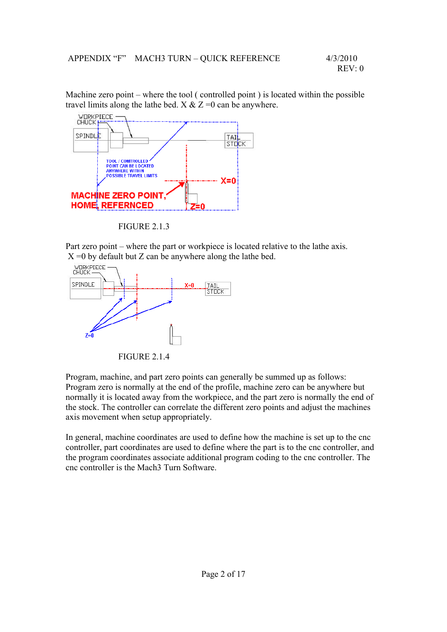Machine zero point – where the tool ( controlled point ) is located within the possible travel limits along the lathe bed.  $X & Z = 0$  can be anywhere.



FIGURE 2.1.3

Part zero point – where the part or workpiece is located relative to the lathe axis.



FIGURE 2.1.4

Program, machine, and part zero points can generally be summed up as follows: Program zero is normally at the end of the profile, machine zero can be anywhere but normally it is located away from the workpiece, and the part zero is normally the end of the stock. The controller can correlate the different zero points and adjust the machines axis movement when setup appropriately.

In general, machine coordinates are used to define how the machine is set up to the cnc controller, part coordinates are used to define where the part is to the cnc controller, and the program coordinates associate additional program coding to the cnc controller. The cnc controller is the Mach3 Turn Software.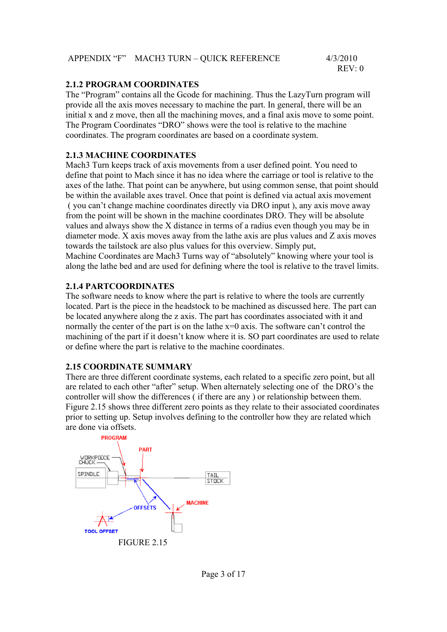| APPENDIX "F" MACH3 TURN - QUICK REFERENCE | 4/3/2010 |
|-------------------------------------------|----------|
|                                           | REV:0    |

#### **2.1.2 PROGRAM COORDINATES**

The "Program" contains all the Gcode for machining. Thus the LazyTurn program will provide all the axis moves necessary to machine the part. In general, there will be an initial x and z move, then all the machining moves, and a final axis move to some point. The Program Coordinates "DRO" shows were the tool is relative to the machine coordinates. The program coordinates are based on a coordinate system.

#### **2.1.3 MACHINE COORDINATES**

Mach3 Turn keeps track of axis movements from a user defined point. You need to define that point to Mach since it has no idea where the carriage or tool is relative to the axes of the lathe. That point can be anywhere, but using common sense, that point should be within the available axes travel. Once that point is defined via actual axis movement ( you can't change machine coordinates directly via DRO input ), any axis move away from the point will be shown in the machine coordinates DRO. They will be absolute values and always show the X distance in terms of a radius even though you may be in diameter mode. X axis moves away from the lathe axis are plus values and Z axis moves towards the tailstock are also plus values for this overview. Simply put, Machine Coordinates are Mach3 Turns way of "absolutely" knowing where your tool is

along the lathe bed and are used for defining where the tool is relative to the travel limits.

#### **2.1.4 PARTCOORDINATES**

The software needs to know where the part is relative to where the tools are currently located. Part is the piece in the headstock to be machined as discussed here. The part can be located anywhere along the z axis. The part has coordinates associated with it and normally the center of the part is on the lathe  $x=0$  axis. The software can't control the machining of the part if it doesn't know where it is. SO part coordinates are used to relate or define where the part is relative to the machine coordinates.

#### **2.15 COORDINATE SUMMARY**

There are three different coordinate systems, each related to a specific zero point, but all are related to each other "after" setup. When alternately selecting one of the DRO's the controller will show the differences ( if there are any ) or relationship between them. Figure 2.15 shows three different zero points as they relate to their associated coordinates prior to setting up. Setup involves defining to the controller how they are related which are done via offsets.

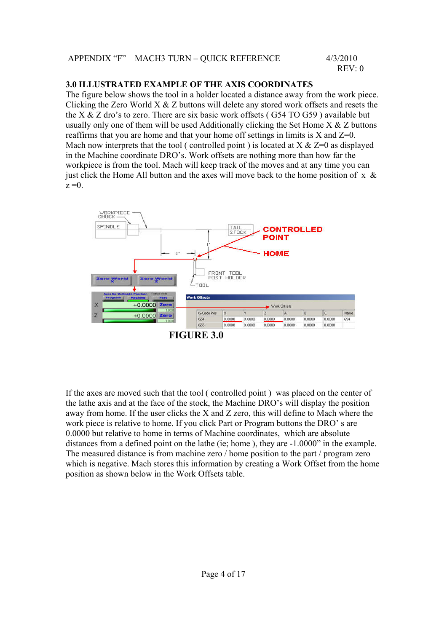#### **3.0 ILLUSTRATED EXAMPLE OF THE AXIS COORDINATES**

The figure below shows the tool in a holder located a distance away from the work piece. Clicking the Zero World  $X & Z$  buttons will delete any stored work offsets and resets the the X  $\&$  Z dro's to zero. There are six basic work offsets (G54 TO G59) available but usually only one of them will be used Additionally clicking the Set Home  $X \& Z$  buttons reaffirms that you are home and that your home off settings in limits is  $X$  and  $Z=0$ . Mach now interprets that the tool ( controlled point ) is located at  $X \& Z=0$  as displayed in the Machine coordinate DRO's. Work offsets are nothing more than how far the workpiece is from the tool. Mach will keep track of the moves and at any time you can just click the Home All button and the axes will move back to the home position of  $x \&$  $z = 0$ .



**FIGURE 3.0** 

If the axes are moved such that the tool ( controlled point ) was placed on the center of the lathe axis and at the face of the stock, the Machine DRO's will display the position away from home. If the user clicks the X and Z zero, this will define to Mach where the work piece is relative to home. If you click Part or Program buttons the DRO' s are 0.0000 but relative to home in terms of Machine coordinates, which are absolute distances from a defined point on the lathe (ie; home ), they are -1.0000" in the example. The measured distance is from machine zero / home position to the part / program zero which is negative. Mach stores this information by creating a Work Offset from the home position as shown below in the Work Offsets table.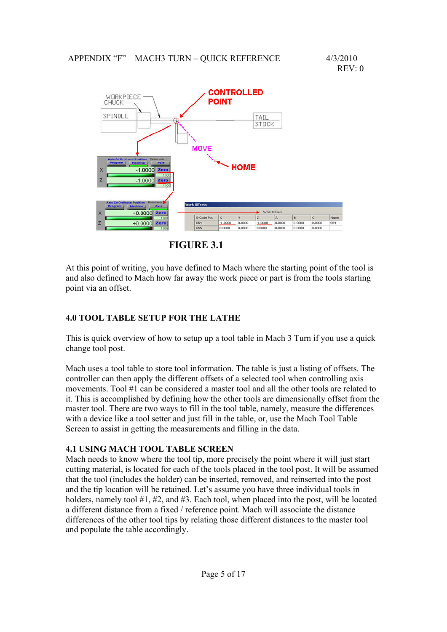

**FIGURE 3.1** 

At this point of writing, you have defined to Mach where the starting point of the tool is and also defined to Mach how far away the work piece or part is from the tools starting point via an offset.

## **4.0 TOOL TABLE SETUP FOR THE LATHE**

This is quick overview of how to setup up a tool table in Mach 3 Turn if you use a quick change tool post.

Mach uses a tool table to store tool information. The table is just a listing of offsets. The controller can then apply the different offsets of a selected tool when controlling axis movements. Tool #1 can be considered a master tool and all the other tools are related to it. This is accomplished by defining how the other tools are dimensionally offset from the master tool. There are two ways to fill in the tool table, namely, measure the differences with a device like a tool setter and just fill in the table, or, use the Mach Tool Table Screen to assist in getting the measurements and filling in the data.

## **4.1 USING MACH TOOL TABLE SCREEN**

Mach needs to know where the tool tip, more precisely the point where it will just start cutting material, is located for each of the tools placed in the tool post. It will be assumed that the tool (includes the holder) can be inserted, removed, and reinserted into the post and the tip location will be retained. Let's assume you have three individual tools in holders, namely tool #1, #2, and #3. Each tool, when placed into the post, will be located a different distance from a fixed / reference point. Mach will associate the distance differences of the other tool tips by relating those different distances to the master tool and populate the table accordingly.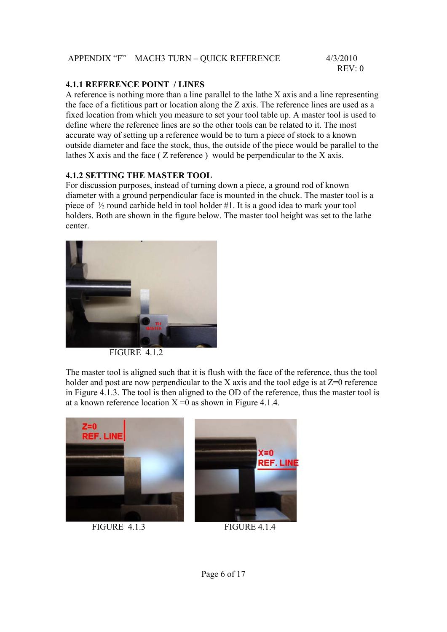|  | APPENDIX "F" MACH3 TURN - QUICK REFERENCE | 4/3/2010 |
|--|-------------------------------------------|----------|
|--|-------------------------------------------|----------|

REV: 0

#### **4.1.1 REFERENCE POINT / LINES**

A reference is nothing more than a line parallel to the lathe X axis and a line representing the face of a fictitious part or location along the Z axis. The reference lines are used as a fixed location from which you measure to set your tool table up. A master tool is used to define where the reference lines are so the other tools can be related to it. The most accurate way of setting up a reference would be to turn a piece of stock to a known outside diameter and face the stock, thus, the outside of the piece would be parallel to the lathes X axis and the face ( Z reference ) would be perpendicular to the X axis.

#### **4.1.2 SETTING THE MASTER TOOL**

For discussion purposes, instead of turning down a piece, a ground rod of known diameter with a ground perpendicular face is mounted in the chuck. The master tool is a piece of ½ round carbide held in tool holder #1. It is a good idea to mark your tool holders. Both are shown in the figure below. The master tool height was set to the lathe center.



FIGURE 412

The master tool is aligned such that it is flush with the face of the reference, thus the tool holder and post are now perpendicular to the X axis and the tool edge is at  $Z=0$  reference in Figure 4.1.3. The tool is then aligned to the OD of the reference, thus the master tool is at a known reference location  $X = 0$  as shown in Figure 4.1.4.

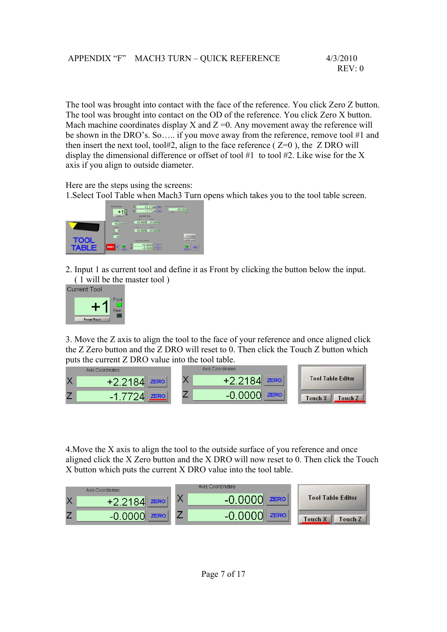The tool was brought into contact with the face of the reference. You click Zero Z button. The tool was brought into contact on the OD of the reference. You click Zero X button. Mach machine coordinates display X and  $Z = 0$ . Any movement away the reference will be shown in the DRO's. So….. if you move away from the reference, remove tool #1 and then insert the next tool, tool#2, align to the face reference ( $Z=0$ ), the  $Z$  DRO will display the dimensional difference or offset of tool  $#1$  to tool  $#2$ . Like wise for the X axis if you align to outside diameter.

Here are the steps using the screens:

1.Select Tool Table when Mach3 Turn opens which takes you to the tool table screen.



2. Input 1 as current tool and define it as Front by clicking the button below the input. ( 1 will be the master tool )

**Current Tool** 



3. Move the Z axis to align the tool to the face of your reference and once aligned click the Z Zero button and the Z DRO will reset to 0. Then click the Touch Z button which puts the current Z DRO value into the tool table.



4.Move the X axis to align the tool to the outside surface of you reference and once aligned click the X Zero button and the X DRO will now reset to 0. Then click the Touch X button which puts the current X DRO value into the tool table.

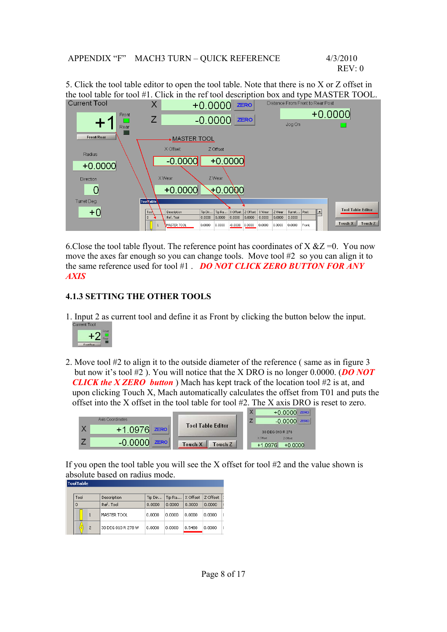5. Click the tool table editor to open the tool table. Note that there is no X or Z offset in the tool table for tool #1. Click in the ref tool description box and type MASTER TOOL.<br>Current Tool  $X = \frac{10,0000}{2500}$ 



6. Close the tool table flyout. The reference point has coordinates of  $X \& Z = 0$ . You now move the axes far enough so you can change tools. Move tool #2 so you can align it to the same reference used for tool #1 . *DO NOT CLICK ZERO BUTTON FOR ANY AXIS* 

## **4.1.3 SETTING THE OTHER TOOLS**

1. Input 2 as current tool and define it as Front by clicking the button below the input.



2. Move tool #2 to align it to the outside diameter of the reference ( same as in figure 3 but now it's tool #2 ). You will notice that the X DRO is no longer 0.0000. (*DO NOT CLICK the X ZERO button* ) Mach has kept track of the location tool #2 is at, and upon clicking Touch X, Mach automatically calculates the offset from T01 and puts the offset into the X offset in the tool table for tool #2. The X axis DRO is reset to zero.



If you open the tool table you will see the X offset for tool  $#2$  and the value shown is absolute based on radius mode.

|  | Tool                | Description        | Tip Dir | Tip Ra | X Offset | Z Offset |   |
|--|---------------------|--------------------|---------|--------|----------|----------|---|
|  | 0                   | Ref. Tool          | 0.0000  | n.nnnn | 0.0000   | 0.0000   |   |
|  |                     | MASTER TOOL        | 0.0000  | 0.0000 | 0.0000   | 0.0000   | ť |
|  | ō<br>$\overline{2}$ | 30 DEG 010 R 278 W | 0.0000  | 0.0000 | 0.5488   | 0.0000   | ť |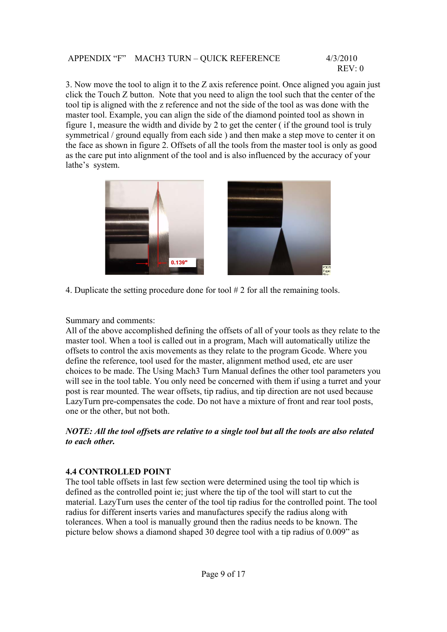3. Now move the tool to align it to the Z axis reference point. Once aligned you again just click the Touch Z button. Note that you need to align the tool such that the center of the tool tip is aligned with the z reference and not the side of the tool as was done with the master tool. Example, you can align the side of the diamond pointed tool as shown in figure 1, measure the width and divide by 2 to get the center ( if the ground tool is truly symmetrical / ground equally from each side ) and then make a step move to center it on the face as shown in figure 2. Offsets of all the tools from the master tool is only as good as the care put into alignment of the tool and is also influenced by the accuracy of your lathe's system.



4. Duplicate the setting procedure done for tool # 2 for all the remaining tools.

Summary and comments:

All of the above accomplished defining the offsets of all of your tools as they relate to the master tool. When a tool is called out in a program, Mach will automatically utilize the offsets to control the axis movements as they relate to the program Gcode. Where you define the reference, tool used for the master, alignment method used, etc are user choices to be made. The Using Mach3 Turn Manual defines the other tool parameters you will see in the tool table. You only need be concerned with them if using a turret and your post is rear mounted. The wear offsets, tip radius, and tip direction are not used because LazyTurn pre-compensates the code. Do not have a mixture of front and rear tool posts, one or the other, but not both.

#### *NOTE: All the tool offs***ets** *are relative to a single tool but all the tools are also related to each other.*

## **4.4 CONTROLLED POINT**

The tool table offsets in last few section were determined using the tool tip which is defined as the controlled point ie; just where the tip of the tool will start to cut the material. LazyTurn uses the center of the tool tip radius for the controlled point. The tool radius for different inserts varies and manufactures specify the radius along with tolerances. When a tool is manually ground then the radius needs to be known. The picture below shows a diamond shaped 30 degree tool with a tip radius of 0.009" as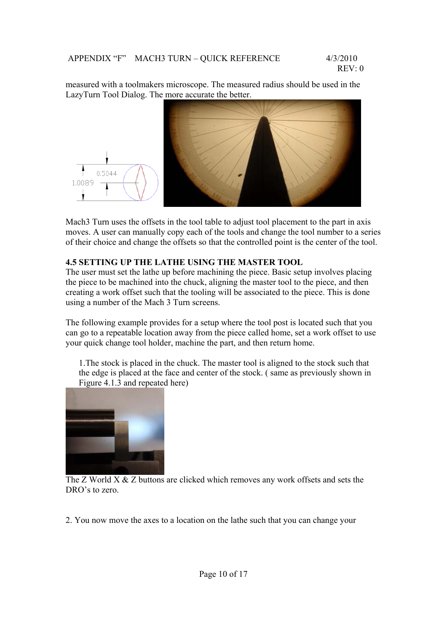measured with a toolmakers microscope. The measured radius should be used in the LazyTurn Tool Dialog. The more accurate the better.



Mach3 Turn uses the offsets in the tool table to adjust tool placement to the part in axis moves. A user can manually copy each of the tools and change the tool number to a series of their choice and change the offsets so that the controlled point is the center of the tool.

#### **4.5 SETTING UP THE LATHE USING THE MASTER TOOL**

The user must set the lathe up before machining the piece. Basic setup involves placing the piece to be machined into the chuck, aligning the master tool to the piece, and then creating a work offset such that the tooling will be associated to the piece. This is done using a number of the Mach 3 Turn screens.

The following example provides for a setup where the tool post is located such that you can go to a repeatable location away from the piece called home, set a work offset to use your quick change tool holder, machine the part, and then return home.

1.The stock is placed in the chuck. The master tool is aligned to the stock such that the edge is placed at the face and center of the stock. ( same as previously shown in Figure 4.1.3 and repeated here)



 The Z World X & Z buttons are clicked which removes any work offsets and sets the DRO's to zero.

2. You now move the axes to a location on the lathe such that you can change your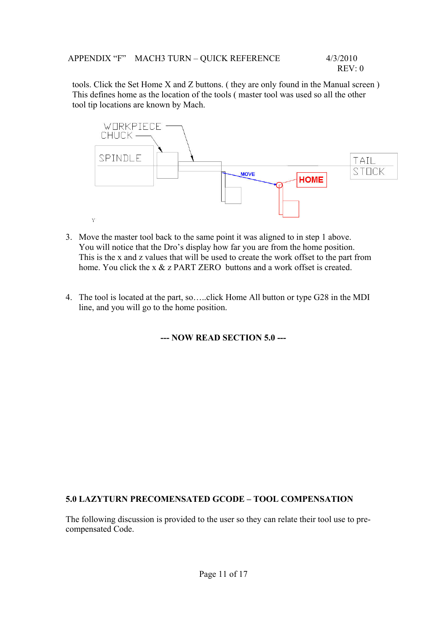tools. Click the Set Home X and Z buttons. ( they are only found in the Manual screen ) This defines home as the location of the tools ( master tool was used so all the other tool tip locations are known by Mach.



- 3. Move the master tool back to the same point it was aligned to in step 1 above. You will notice that the Dro's display how far you are from the home position. This is the x and z values that will be used to create the work offset to the part from home. You click the x & z PART ZERO buttons and a work offset is created.
- 4. The tool is located at the part, so…..click Home All button or type G28 in the MDI line, and you will go to the home position.

**--- NOW READ SECTION 5.0 ---** 

#### **5.0 LAZYTURN PRECOMENSATED GCODE – TOOL COMPENSATION**

The following discussion is provided to the user so they can relate their tool use to precompensated Code.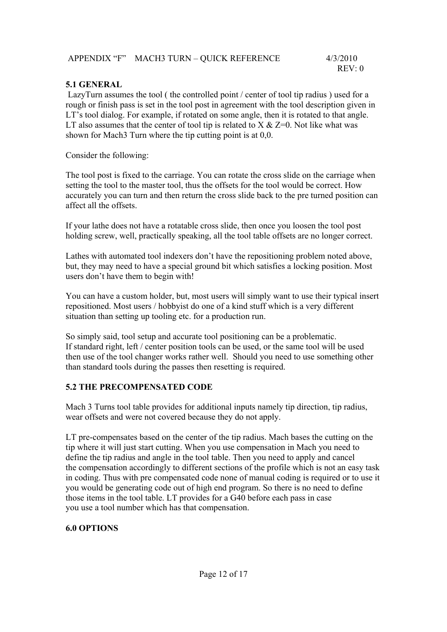| APPENDIX "F" MACH3 TURN - QUICK REFERENCE | 4/3/2010 |
|-------------------------------------------|----------|
|-------------------------------------------|----------|

### **5.1 GENERAL**

 LazyTurn assumes the tool ( the controlled point / center of tool tip radius ) used for a rough or finish pass is set in the tool post in agreement with the tool description given in LT's tool dialog. For example, if rotated on some angle, then it is rotated to that angle. LT also assumes that the center of tool tip is related to  $X \& Z=0$ . Not like what was shown for Mach3 Turn where the tip cutting point is at 0,0.

Consider the following:

The tool post is fixed to the carriage. You can rotate the cross slide on the carriage when setting the tool to the master tool, thus the offsets for the tool would be correct. How accurately you can turn and then return the cross slide back to the pre turned position can affect all the offsets.

If your lathe does not have a rotatable cross slide, then once you loosen the tool post holding screw, well, practically speaking, all the tool table offsets are no longer correct.

Lathes with automated tool indexers don't have the repositioning problem noted above, but, they may need to have a special ground bit which satisfies a locking position. Most users don't have them to begin with!

You can have a custom holder, but, most users will simply want to use their typical insert repositioned. Most users / hobbyist do one of a kind stuff which is a very different situation than setting up tooling etc. for a production run.

So simply said, tool setup and accurate tool positioning can be a problematic. If standard right, left / center position tools can be used, or the same tool will be used then use of the tool changer works rather well. Should you need to use something other than standard tools during the passes then resetting is required.

#### **5.2 THE PRECOMPENSATED CODE**

Mach 3 Turns tool table provides for additional inputs namely tip direction, tip radius, wear offsets and were not covered because they do not apply.

LT pre-compensates based on the center of the tip radius. Mach bases the cutting on the tip where it will just start cutting. When you use compensation in Mach you need to define the tip radius and angle in the tool table. Then you need to apply and cancel the compensation accordingly to different sections of the profile which is not an easy task in coding. Thus with pre compensated code none of manual coding is required or to use it you would be generating code out of high end program. So there is no need to define those items in the tool table. LT provides for a G40 before each pass in case you use a tool number which has that compensation.

## **6.0 OPTIONS**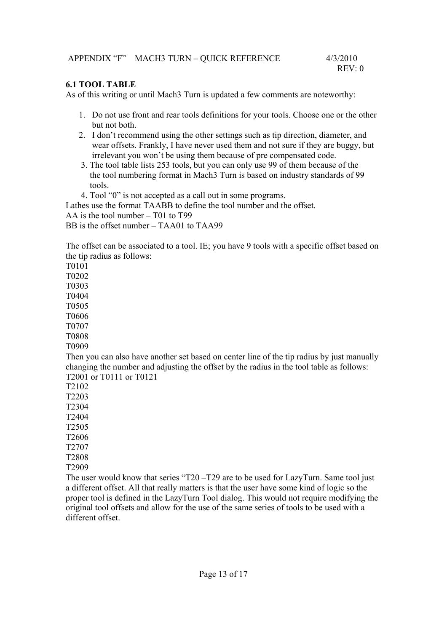#### **6.1 TOOL TABLE**

As of this writing or until Mach3 Turn is updated a few comments are noteworthy:

- 1. Do not use front and rear tools definitions for your tools. Choose one or the other but not both.
- 2. I don't recommend using the other settings such as tip direction, diameter, and wear offsets. Frankly, I have never used them and not sure if they are buggy, but irrelevant you won't be using them because of pre compensated code.
- 3. The tool table lists 253 tools, but you can only use 99 of them because of the the tool numbering format in Mach3 Turn is based on industry standards of 99 tools.
- 4. Tool "0" is not accepted as a call out in some programs.

Lathes use the format TAABB to define the tool number and the offset.

AA is the tool number – T01 to T99

BB is the offset number – TAA01 to TAA99

The offset can be associated to a tool. IE; you have 9 tools with a specific offset based on the tip radius as follows:

T0101

T0202

T0303

T0404

T0505

T0606

T0707

T0808 T0909

Then you can also have another set based on center line of the tip radius by just manually changing the number and adjusting the offset by the radius in the tool table as follows: T2001 or T0111 or T0121

T2102

T2203

T2304

T2404

T2505

T2606

T2707 T2808

T2909

The user would know that series "T20 –T29 are to be used for LazyTurn. Same tool just a different offset. All that really matters is that the user have some kind of logic so the proper tool is defined in the LazyTurn Tool dialog. This would not require modifying the original tool offsets and allow for the use of the same series of tools to be used with a different offset.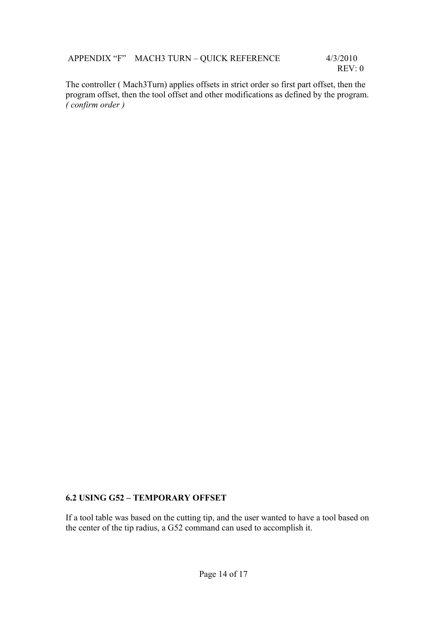The controller ( Mach3Turn) applies offsets in strict order so first part offset, then the program offset, then the tool offset and other modifications as defined by the program. *( confirm order )*

## **6.2 USING G52 – TEMPORARY OFFSET**

If a tool table was based on the cutting tip, and the user wanted to have a tool based on the center of the tip radius, a G52 command can used to accomplish it.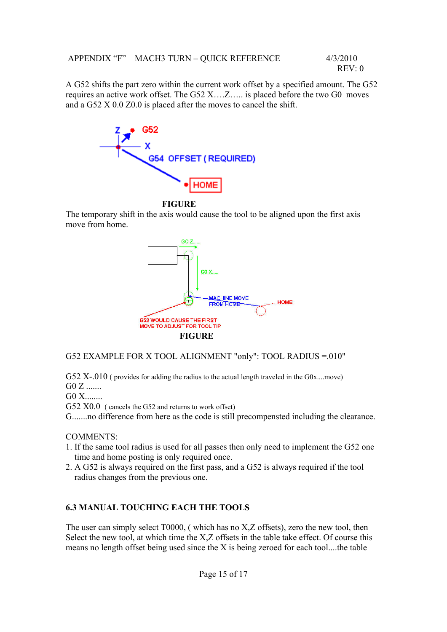A G52 shifts the part zero within the current work offset by a specified amount. The G52 requires an active work offset. The G52 X….Z….. is placed before the two G0 moves and a G52 X 0.0 Z0.0 is placed after the moves to cancel the shift.



#### **FIGURE**

The temporary shift in the axis would cause the tool to be aligned upon the first axis move from home.



#### G52 EXAMPLE FOR X TOOL ALIGNMENT "only": TOOL RADIUS =.010"

G52 X-.010 ( provides for adding the radius to the actual length traveled in the G0x..., move) G0 Z .......

G0 X........

G52 X0.0 ( cancels the G52 and returns to work offset)

G.......no difference from here as the code is still precompensted including the clearance.

COMMENTS:

- 1. If the same tool radius is used for all passes then only need to implement the G52 one time and home posting is only required once.
- 2. A G52 is always required on the first pass, and a G52 is always required if the tool radius changes from the previous one.

#### **6.3 MANUAL TOUCHING EACH THE TOOLS**

The user can simply select T0000, ( which has no X,Z offsets), zero the new tool, then Select the new tool, at which time the X,Z offsets in the table take effect. Of course this means no length offset being used since the X is being zeroed for each tool....the table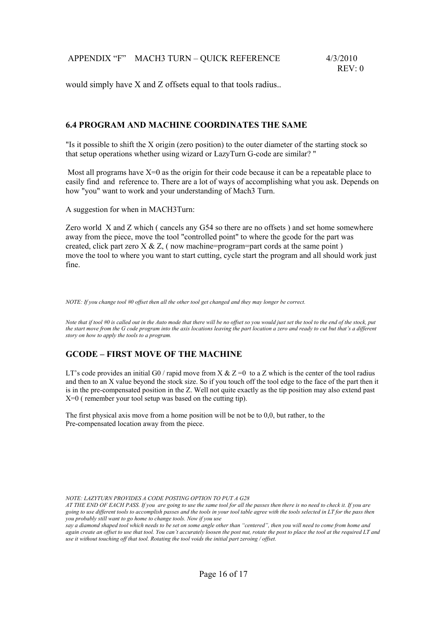would simply have X and Z offsets equal to that tools radius...

#### **6.4 PROGRAM AND MACHINE COORDINATES THE SAME**

"Is it possible to shift the X origin (zero position) to the outer diameter of the starting stock so that setup operations whether using wizard or LazyTurn G-code are similar? "

Most all programs have  $X=0$  as the origin for their code because it can be a repeatable place to easily find and reference to. There are a lot of ways of accomplishing what you ask. Depends on how "you" want to work and your understanding of Mach3 Turn.

A suggestion for when in MACH3Turn:

Zero world X and Z which ( cancels any G54 so there are no offsets ) and set home somewhere away from the piece, move the tool "controlled point" to where the gcode for the part was created, click part zero  $X \& Z$ , (now machine=program=part cords at the same point) move the tool to where you want to start cutting, cycle start the program and all should work just fine.

*NOTE: If you change tool #0 offset then all the other tool get changed and they may longer be correct.*

*Note that if tool #0 is called out in the Auto mode that there will be no offset so you would just set the tool to the end of the stock, put the start move from the G code program into the axis locations leaving the part location a zero and ready to cut but that's a different story on how to apply the tools to a program.* 

#### **GCODE – FIRST MOVE OF THE MACHINE**

LT's code provides an initial G0 / rapid move from X  $& Z = 0$  to a Z which is the center of the tool radius and then to an X value beyond the stock size. So if you touch off the tool edge to the face of the part then it is in the pre-compensated position in the Z. Well not quite exactly as the tip position may also extend past X=0 ( remember your tool setup was based on the cutting tip).

The first physical axis move from a home position will be not be to 0,0, but rather, to the Pre-compensated location away from the piece.

*NOTE: LAZYTURN PROVIDES A CODE POSTING OPTION TO PUT A G28* 

*AT THE END OF EACH PASS. If you are going to use the same tool for all the passes then there is no need to check it. If you are going to use different tools to accomplish passes and the tools in your tool table agree with the tools selected in LT for the pass then you probably still want to go home to change tools. Now if you use* 

*say a diamond shaped tool which needs to be set on some angle other than "centered", then you will need to come from home and again create an offset to use that tool. You can't accurately loosen the post nut, rotate the post to place the tool at the required LT and use it without touching off that tool. Rotating the tool voids the initial part zeroing / offset.*